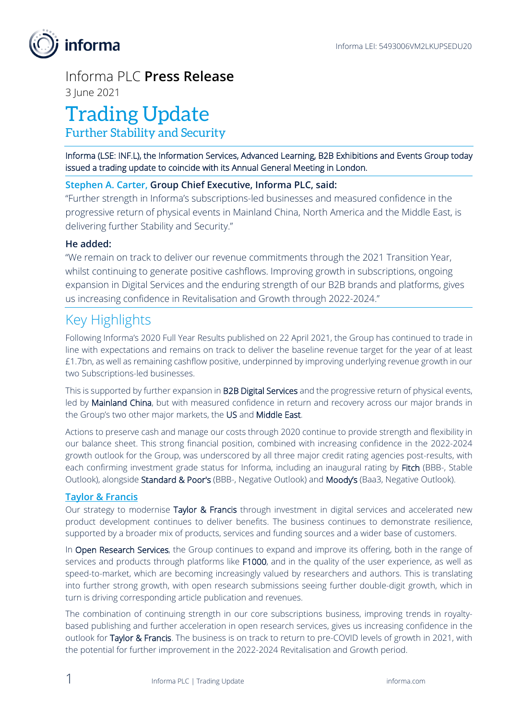

# Informa PLC **Press Release**

3 June 2021

# Trading Update

Further Stability and Security

Informa (LSE: INF.L), the Information Services, Advanced Learning, B2B Exhibitions and Events Group today issued a trading update to coincide with its Annual General Meeting in London.

## **Stephen A. Carter, Group Chief Executive, Informa PLC, said:**

"Further strength in Informa's subscriptions-led businesses and measured confidence in the progressive return of physical events in Mainland China, North America and the Middle East, is delivering further Stability and Security."

### **He added:**

"We remain on track to deliver our revenue commitments through the 2021 Transition Year, whilst continuing to generate positive cashflows. Improving growth in subscriptions, ongoing expansion in Digital Services and the enduring strength of our B2B brands and platforms, gives us increasing confidence in Revitalisation and Growth through 2022-2024."

# Key Highlights

Following Informa's 2020 Full Year Results published on 22 April 2021, the Group has continued to trade in line with expectations and remains on track to deliver the baseline revenue target for the year of at least £1.7bn, as well as remaining cashflow positive, underpinned by improving underlying revenue growth in our two Subscriptions-led businesses.

This is supported by further expansion in B2B Digital Services and the progressive return of physical events, led by Mainland China, but with measured confidence in return and recovery across our major brands in the Group's two other major markets, the US and Middle East.

Actions to preserve cash and manage our costs through 2020 continue to provide strength and flexibility in our balance sheet. This strong financial position, combined with increasing confidence in the 2022-2024 growth outlook for the Group, was underscored by all three major credit rating agencies post-results, with each confirming investment grade status for Informa, including an inaugural rating by Fitch (BBB-, Stable Outlook), alongside Standard & Poor's (BBB-, Negative Outlook) and Moody's (Baa3, Negative Outlook).

#### **Taylor & Francis**

Our strategy to modernise Taylor & Francis through investment in digital services and accelerated new product development continues to deliver benefits. The business continues to demonstrate resilience, supported by a broader mix of products, services and funding sources and a wider base of customers.

In Open Research Services, the Group continues to expand and improve its offering, both in the range of services and products through platforms like F1000, and in the quality of the user experience, as well as speed-to-market, which are becoming increasingly valued by researchers and authors. This is translating into further strong growth, with open research submissions seeing further double-digit growth, which in turn is driving corresponding article publication and revenues.

The combination of continuing strength in our core subscriptions business, improving trends in royaltybased publishing and further acceleration in open research services, gives us increasing confidence in the outlook for Taylor & Francis. The business is on track to return to pre-COVID levels of growth in 2021, with the potential for further improvement in the 2022-2024 Revitalisation and Growth period.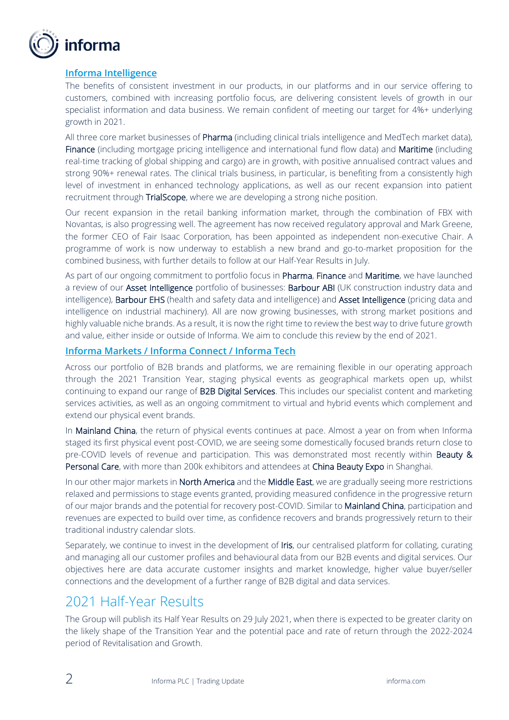

#### **Informa Intelligence**

The benefits of consistent investment in our products, in our platforms and in our service offering to customers, combined with increasing portfolio focus, are delivering consistent levels of growth in our specialist information and data business. We remain confident of meeting our target for 4%+ underlying growth in 2021.

All three core market businesses of Pharma (including clinical trials intelligence and MedTech market data), Finance (including mortgage pricing intelligence and international fund flow data) and Maritime (including real-time tracking of global shipping and cargo) are in growth, with positive annualised contract values and strong 90%+ renewal rates. The clinical trials business, in particular, is benefiting from a consistently high level of investment in enhanced technology applications, as well as our recent expansion into patient recruitment through TrialScope, where we are developing a strong niche position.

Our recent expansion in the retail banking information market, through the combination of FBX with Novantas, is also progressing well. The agreement has now received regulatory approval and Mark Greene, the former CEO of Fair Isaac Corporation, has been appointed as independent non-executive Chair. A programme of work is now underway to establish a new brand and go-to-market proposition for the combined business, with further details to follow at our Half-Year Results in July.

As part of our ongoing commitment to portfolio focus in Pharma, Finance and Maritime, we have launched a review of our **Asset Intelligence** portfolio of businesses: **Barbour ABI** (UK construction industry data and intelligence), Barbour EHS (health and safety data and intelligence) and Asset Intelligence (pricing data and intelligence on industrial machinery). All are now growing businesses, with strong market positions and highly valuable niche brands. As a result, it is now the right time to review the best way to drive future growth and value, either inside or outside of Informa. We aim to conclude this review by the end of 2021.

#### **Informa Markets / Informa Connect / Informa Tech**

Across our portfolio of B2B brands and platforms, we are remaining flexible in our operating approach through the 2021 Transition Year, staging physical events as geographical markets open up, whilst continuing to expand our range of B2B Digital Services. This includes our specialist content and marketing services activities, as well as an ongoing commitment to virtual and hybrid events which complement and extend our physical event brands.

In Mainland China, the return of physical events continues at pace. Almost a year on from when Informa staged its first physical event post-COVID, we are seeing some domestically focused brands return close to pre-COVID levels of revenue and participation. This was demonstrated most recently within Beauty & Personal Care, with more than 200k exhibitors and attendees at China Beauty Expo in Shanghai.

In our other major markets in North America and the Middle East, we are gradually seeing more restrictions relaxed and permissions to stage events granted, providing measured confidence in the progressive return of our major brands and the potential for recovery post-COVID. Similar to Mainland China, participation and revenues are expected to build over time, as confidence recovers and brands progressively return to their traditional industry calendar slots.

Separately, we continue to invest in the development of Iris, our centralised platform for collating, curating and managing all our customer profiles and behavioural data from our B2B events and digital services. Our objectives here are data accurate customer insights and market knowledge, higher value buyer/seller connections and the development of a further range of B2B digital and data services.

## 2021 Half-Year Results

The Group will publish its Half Year Results on 29 July 2021, when there is expected to be greater clarity on the likely shape of the Transition Year and the potential pace and rate of return through the 2022-2024 period of Revitalisation and Growth.